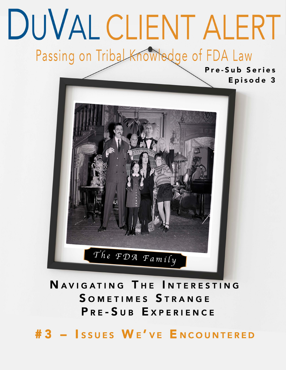# DUVAL CLIENT ALERT Passing on Tribal Knowledge of FDA Law

Pre-Sub Series Episode 3



NAVIGATING THE INTERESTING SOMETIMES STRANGE PRE-SUB EXPERIENCE

#3 - ISSUES WE'VE ENCOUNTERED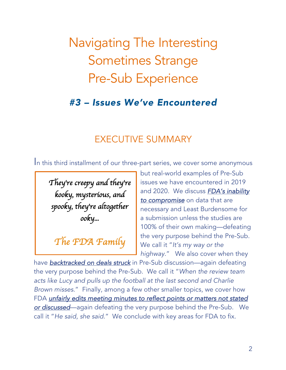# Navigating The Interesting Sometimes Strange Pre-Sub Experience

## *#3 – Issues We've Encountered*

### EXECUTIVE SUMMARY

In this third installment of our three-part series, we cover some anonymous

*They*'*re creepy and they*'*re kooky, mysterious, and spooky, they*'*re altogether ooky...* 

# *The FDA Family*

*In this third installment of our* 

but real-world examples of Pre-Sub issues we have encountered in 2019 and 2020.We discuss *FDA's inability to compromise* on data that are necessary and Least Burdensome for a submission unless the studies are 100% of their own making—defeating the very purpose behind the Pre-Sub. We call it "*It's my way or the highway*." We also cover when they

have <u>backtracked on deals struck</u> in Pre-Sub discussion—again defeating the very purpose behind the Pre-Sub. We call it "When the review team *acts like Lucy and pulls up the football at the last second and Charlie world examples of Pre-Sub Brown misses."* Finally, among a few other smaller topics, we cover how FDA *unfairly edits meeting minutes to reflect points or matters not stated 2019 and 2020.* We discuss <u>or discussed</u>—again defeating the very purpose behind the Pre-Sub. We call it "He said, she said." We conclude with key areas for FDA to fix.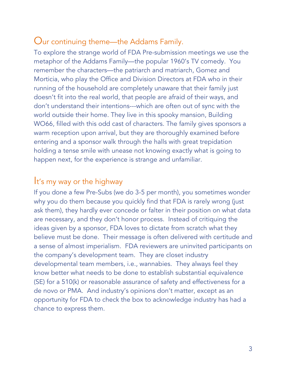#### Our continuing theme—the Addams Family.

To explore the strange world of FDA Pre-submission meetings we use the metaphor of the Addams Family—the popular 1960's TV comedy. You remember the characters—the patriarch and matriarch, Gomez and Morticia, who play the Office and Division Directors at FDA who in their running of the household are completely unaware that their family just doesn't fit into the real world, that people are afraid of their ways, and don't understand their intentions---which are often out of sync with the world outside their home. They live in this spooky mansion, Building WO66, filled with this odd cast of characters. The family gives sponsors a warm reception upon arrival, but they are thoroughly examined before entering and a sponsor walk through the halls with great trepidation holding a tense smile with unease not knowing exactly what is going to happen next, for the experience is strange and unfamiliar.

#### It's my way or the highway

If you done a few Pre-Subs (we do 3-5 per month), you sometimes wonder why you do them because you quickly find that FDA is rarely wrong (just ask them), they hardly ever concede or falter in their position on what data are necessary, and they don't honor process. Instead of critiquing the ideas given by a sponsor, FDA loves to dictate from scratch what they believe must be done. Their message is often delivered with certitude and a sense of almost imperialism. FDA reviewers are uninvited participants on the company's development team. They are closet industry developmental team members, i.e., wannabies. They always feel they know better what needs to be done to establish substantial equivalence (SE) for a 510(k) or reasonable assurance of safety and effectiveness for a de novo or PMA. And industry's opinions don't matter, except as an opportunity for FDA to check the box to acknowledge industry has had a chance to express them.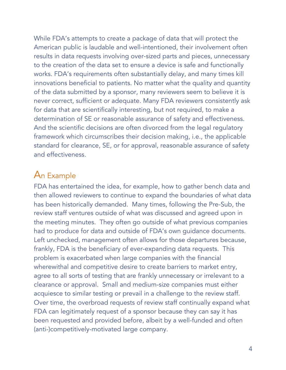While FDA's attempts to create a package of data that will protect the American public is laudable and well-intentioned, their involvement often results in data requests involving over-sized parts and pieces, unnecessary to the creation of the data set to ensure a device is safe and functionally works. FDA's requirements often substantially delay, and many times kill innovations beneficial to patients. No matter what the quality and quantity of the data submitted by a sponsor, many reviewers seem to believe it is never correct, sufficient or adequate. Many FDA reviewers consistently ask for data that are scientifically interesting, but not required, to make a determination of SE or reasonable assurance of safety and effectiveness. And the scientific decisions are often divorced from the legal regulatory framework which circumscribes their decision making, i.e., the applicable standard for clearance, SE, or for approval, reasonable assurance of safety and effectiveness.

#### An Example

FDA has entertained the idea, for example, how to gather bench data and then allowed reviewers to continue to expand the boundaries of what data has been historically demanded. Many times, following the Pre-Sub, the review staff ventures outside of what was discussed and agreed upon in the meeting minutes. They often go outside of what previous companies had to produce for data and outside of FDA's own guidance documents. Left unchecked, management often allows for those departures because, frankly, FDA is the beneficiary of ever-expanding data requests. This problem is exacerbated when large companies with the financial wherewithal and competitive desire to create barriers to market entry, agree to all sorts of testing that are frankly unnecessary or irrelevant to a clearance or approval. Small and medium-size companies must either acquiesce to similar testing or prevail in a challenge to the review staff. Over time, the overbroad requests of review staff continually expand what FDA can legitimately request of a sponsor because they can say it has been requested and provided before, albeit by a well-funded and often (anti-)competitively-motivated large company.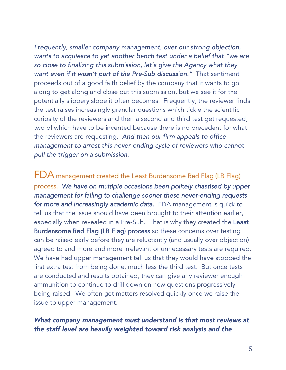*Frequently, smaller company management, over our strong objection, wants to acquiesce to yet another bench test under a belief that "we are so close to finalizing this submission, let's give the Agency what they want even if it wasn't part of the Pre-Sub discussion."* That sentiment proceeds out of a good faith belief by the company that it wants to go along to get along and close out this submission, but we see it for the potentially slippery slope it often becomes. Frequently, the reviewer finds the test raises increasingly granular questions which tickle the scientific curiosity of the reviewers and then a second and third test get requested, two of which have to be invented because there is no precedent for what the reviewers are requesting. *And then our firm appeals to office management to arrest this never-ending cycle of reviewers who cannot pull the trigger on a submission.* 

FDA management created the Least Burdensome Red Flag (LB Flag) process. *We have on multiple occasions been politely chastised by upper management for failing to challenge sooner these never-ending requests*  for more and increasingly academic data. FDA management is quick to tell us that the issue should have been brought to their attention earlier, especially when revealed in a Pre-Sub. That is why they created the Least Burdensome Red Flag (LB Flag) process so these concerns over testing can be raised early before they are reluctantly (and usually over objection) agreed to and more and more irrelevant or unnecessary tests are required. We have had upper management tell us that they would have stopped the first extra test from being done, much less the third test. But once tests are conducted and results obtained, they can give any reviewer enough ammunition to continue to drill down on new questions progressively being raised. We often get matters resolved quickly once we raise the issue to upper management.

#### *What company management must understand is that most reviews at the staff level are heavily weighted toward risk analysis and the*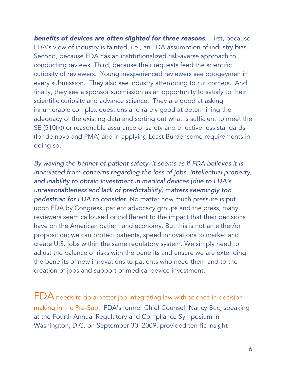**benefits of devices are often slighted for three reasons.** First, because FDA's view of industry is tainted, i.e., an FDA assumption of industry bias. Second, because FDA has an institutionalized risk-averse approach to conducting reviews. Third, because their requests feed the scientific curiosity of reviewers.Young inexperienced reviewers see boogeymen in every submission. They also see industry attempting to cut corners. And finally, they see a sponsor submission as an opportunity to satisfy to their scientific curiosity and advance science. They are good at asking innumerable complex questions and rarely good at determining the adequacy of the existing data and sorting out what is sufficient to meet the SE (510(k)) or reasonable assurance of safety and effectiveness standards (for de novo and PMA) and in applying Least Burdensome requirements in doing so.

*By waving the banner of patient safety, it seems as if FDA believes it is inoculated from concerns regarding the loss of jobs, intellectual property, and inability to obtain investment in medical devices (due to FDA's unreasonableness and lack of predictability) matters seemingly too pedestrian for FDA to consider.* No matter how much pressure is put upon FDA by Congress, patient advocacy groups and the press, many reviewers seem calloused or indifferent to the impact that their decisions have on the American patient and economy. But this is not an either/or proposition; we can protect patients, speed innovations to market and create U.S. jobs within the same regulatory system. We simply need to adjust the balance of risks with the benefits and ensure we are extending the benefits of new innovations to patients who need them and to the creation of jobs and support of medical device investment.

FDA needs to do a better job integrating law with science in decisionmaking in the Pre-Sub. FDA's former Chief Counsel, Nancy Buc, speaking at the Fourth Annual Regulatory and Compliance Symposium in Washington, D.C. on September 30, 2009, provided terrific insight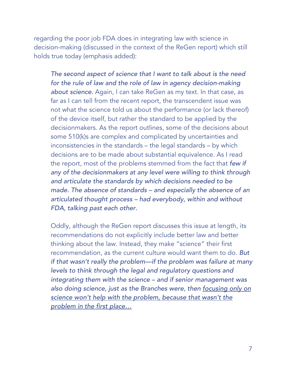regarding the poor job FDA does in integrating law with science in decision-making (discussed in the context of the ReGen report) which still holds true today (emphasis added):

*The second aspect of science that I want to talk about is the need for the rule of law and the role of law in agency decision-making about science.* Again, I can take ReGen as my text. In that case, as far as I can tell from the recent report, the transcendent issue was not what the science told us about the performance (or lack thereof) of the device itself, but rather the standard to be applied by the decisionmakers. As the report outlines, some of the decisions about some 510(k)s are complex and complicated by uncertainties and inconsistencies in the standards – the legal standards – by which decisions are to be made about substantial equivalence. As I read the report, most of the problems stemmed from the fact that *few if any of the decisionmakers at any level were willing to think through and articulate the standards by which decisions needed to be made. The absence of standards – and especially the absence of an articulated thought process – had everybody, within and without FDA, talking past each other.*

Oddly, although the ReGen report discusses this issue at length, its recommendations do not explicitly include better law and better thinking about the law. Instead, they make "science" their first recommendation, as the current culture would want them to do. *But if that wasn't really the problem—if the problem was failure at many levels to think through the legal and regulatory questions and integrating them with the science – and if senior management was also doing science, just as the Branches were, then focusing only on science won't help with the problem, because that wasn't the problem in the first place…*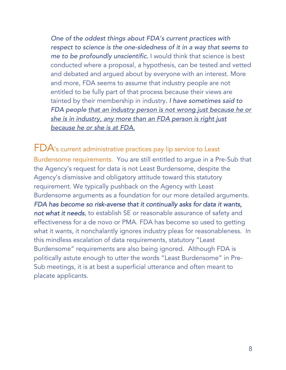*One of the oddest things about FDA's current practices with respect to science is the one-sidedness of it in a way that seems to me to be profoundly unscientific.* I would think that science is best conducted where a proposal, a hypothesis, can be tested and vetted and debated and argued about by everyone with an interest. More and more, FDA seems to assume that industry people are not entitled to be fully part of that process because their views are tainted by their membership in industry*. I have sometimes said to FDA people that an industry person is not wrong just because he or she is in industry, any more than an FDA person is right just because he or she is at FDA.*

FDA's current administrative practices pay lip service to Least Burdensome requirements.You are still entitled to argue in a Pre-Sub that the Agency's request for data is not Least Burdensome, despite the Agency's dismissive and obligatory attitude toward this statutory requirement. We typically pushback on the Agency with Least Burdensome arguments as a foundation for our more detailed arguments. *FDA has become so risk-averse that it continually asks for data it wants, not what it needs*, to establish SE or reasonable assurance of safety and effectiveness for a de novo or PMA. FDA has become so used to getting what it wants, it nonchalantly ignores industry pleas for reasonableness. In this mindless escalation of data requirements, statutory "Least Burdensome" requirements are also being ignored. Although FDA is politically astute enough to utter the words "Least Burdensome" in Pre-Sub meetings, it is at best a superficial utterance and often meant to placate applicants.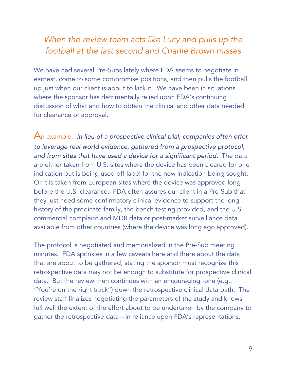#### *When the review team acts like Lucy and pulls up the football at the last second and Charlie Brown misses*

We have had several Pre-Subs lately where FDA seems to negotiate in earnest, come to some compromise positions, and then pulls the football up just when our client is about to kick it. We have been in situations where the sponsor has detrimentally relied upon FDA's continuing discussion of what and how to obtain the clinical and other data needed for clearance or approval.

An example. *In lieu of a prospective clinical trial, companies often offer to leverage real world evidence, gathered from a prospective protocol, and from sites that have used a device for a significant period.* The data are either taken from U.S. sites where the device has been cleared for one indication but is being used off-label for the new indication being sought. Or it is taken from European sites where the device was approved long before the U.S. clearance. FDA often assures our client in a Pre-Sub that they just need some confirmatory clinical evidence to support the long history of the predicate family, the bench testing provided, and the U.S. commercial complaint and MDR data or post-market surveillance data available from other countries (where the device was long ago approved).

The protocol is negotiated and memorialized in the Pre-Sub meeting minutes. FDA sprinkles in a few caveats here and there about the data that are about to be gathered, stating the sponsor must recognize this retrospective data may not be enough to substitute for prospective clinical data. But the review then continues with an encouraging tone (e.g., "You're on the right track") down the retrospective clinical data path. The review staff finalizes negotiating the parameters of the study and knows full well the extent of the effort about to be undertaken by the company to gather the retrospective data—in reliance upon FDA's representations.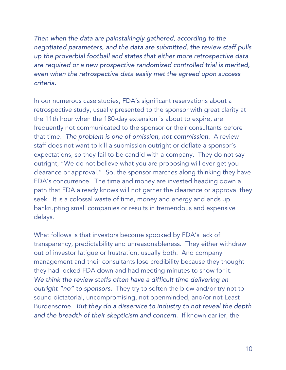*Then when the data are painstakingly gathered, according to the negotiated parameters, and the data are submitted, the review staff pulls up the proverbial football and states that either more retrospective data are required or a new prospective randomized controlled trial is merited, even when the retrospective data easily met the agreed upon success criteria.*

In our numerous case studies, FDA's significant reservations about a retrospective study, usually presented to the sponsor with great clarity at the 11th hour when the 180-day extension is about to expire, are frequently not communicated to the sponsor or their consultants before that time. *The problem is one of omission, not commission.* A review staff does not want to kill a submission outright or deflate a sponsor's expectations, so they fail to be candid with a company. They do not say outright, "We do not believe what you are proposing will ever get you clearance or approval." So, the sponsor marches along thinking they have FDA's concurrence. The time and money are invested heading down a path that FDA already knows will not garner the clearance or approval they seek. It is a colossal waste of time, money and energy and ends up bankrupting small companies or results in tremendous and expensive delays.

What follows is that investors become spooked by FDA's lack of transparency, predictability and unreasonableness. They either withdraw out of investor fatigue or frustration, usually both. And company management and their consultants lose credibility because they thought they had locked FDA down and had meeting minutes to show for it. *We think the review staffs often have a difficult time delivering an outright "no" to sponsors.* They try to soften the blow and/or try not to sound dictatorial, uncompromising, not openminded, and/or not Least Burdensome. *But they do a disservice to industry to not reveal the depth and the breadth of their skepticism and concern.* If known earlier, the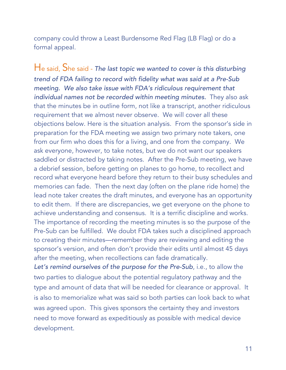company could throw a Least Burdensome Red Flag (LB Flag) or do a formal appeal.

He said, She said - *The last topic we wanted to cover is this disturbing trend of FDA failing to record with fidelity what was said at a Pre-Sub meeting. We also take issue with FDA's ridiculous requirement that individual names not be recorded within meeting minutes.* They also ask that the minutes be in outline form, not like a transcript, another ridiculous requirement that we almost never observe. We will cover all these objections below. Here is the situation analysis. From the sponsor's side in preparation for the FDA meeting we assign two primary note takers, one from our firm who does this for a living, and one from the company. We ask everyone, however, to take notes, but we do not want our speakers saddled or distracted by taking notes. After the Pre-Sub meeting, we have a debrief session, before getting on planes to go home, to recollect and record what everyone heard before they return to their busy schedules and memories can fade. Then the next day (often on the plane ride home) the lead note taker creates the draft minutes, and everyone has an opportunity to edit them. If there are discrepancies, we get everyone on the phone to achieve understanding and consensus. It is a terrific discipline and works. The importance of recording the meeting minutes is so the purpose of the Pre-Sub can be fulfilled. We doubt FDA takes such a disciplined approach to creating their minutes—remember they are reviewing and editing the sponsor's version, and often don't provide their edits until almost 45 days after the meeting, when recollections can fade dramatically.

*Let's remind ourselves of the purpose for the Pre-Sub*, i.e., to allow the two parties to dialogue about the potential regulatory pathway and the type and amount of data that will be needed for clearance or approval. It is also to memorialize what was said so both parties can look back to what was agreed upon. This gives sponsors the certainty they and investors need to move forward as expeditiously as possible with medical device development.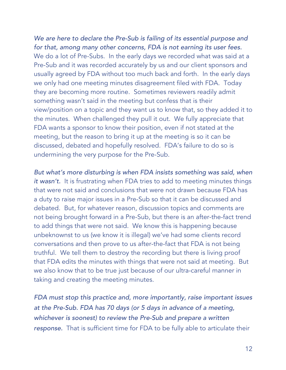*We are here to declare the Pre-Sub is failing of its essential purpose and for that, among many other concerns, FDA is not earning its user fees.* We do a lot of Pre-Subs. In the early days we recorded what was said at a Pre-Sub and it was recorded accurately by us and our client sponsors and usually agreed by FDA without too much back and forth. In the early days we only had one meeting minutes disagreement filed with FDA. Today they are becoming more routine. Sometimes reviewers readily admit something wasn't said in the meeting but confess that is their view/position on a topic and they want us to know that, so they added it to the minutes. When challenged they pull it out. We fully appreciate that FDA wants a sponsor to know their position, even if not stated at the meeting, but the reason to bring it up at the meeting is so it can be discussed, debated and hopefully resolved. FDA's failure to do so is undermining the very purpose for the Pre-Sub.

*But what's more disturbing is when FDA insists something was said, when it wasn't.* It is frustrating when FDA tries to add to meeting minutes things that were not said and conclusions that were not drawn because FDA has a duty to raise major issues in a Pre-Sub so that it can be discussed and debated.But, for whatever reason, discussion topics and comments are not being brought forward in a Pre-Sub, but there is an after-the-fact trend to add things that were not said. We know this is happening because unbeknownst to us (we know it is illegal) we've had some clients record conversations and then prove to us after-the-fact that FDA is not being truthful. We tell them to destroy the recording but there is living proof that FDA edits the minutes with things that were not said at meeting. But we also know that to be true just because of our ultra-careful manner in taking and creating the meeting minutes.

*FDA must stop this practice and, more importantly, raise important issues at the Pre-Sub. FDA has 70 days (or 5 days in advance of a meeting, whichever is soonest) to review the Pre-Sub and prepare a written response.* That is sufficient time for FDA to be fully able to articulate their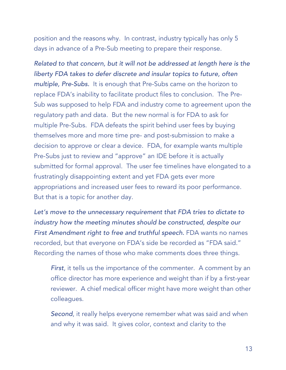position and the reasons why. In contrast, industry typically has only 5 days in advance of a Pre-Sub meeting to prepare their response.

*Related to that concern, but it will not be addressed at length here is the liberty FDA takes to defer discrete and insular topics to future, often multiple, Pre-Subs.* It is enough that Pre-Subs came on the horizon to replace FDA's inability to facilitate product files to conclusion. The Pre-Sub was supposed to help FDA and industry come to agreement upon the regulatory path and data. But the new normal is for FDA to ask for multiple Pre-Subs. FDA defeats the spirit behind user fees by buying themselves more and more time pre- and post-submission to make a decision to approve or clear a device. FDA, for example wants multiple Pre-Subs just to review and "approve" an IDE before it is actually submitted for formal approval. The user fee timelines have elongated to a frustratingly disappointing extent and yet FDA gets ever more appropriations and increased user fees to reward its poor performance. But that is a topic for another day.

*Let's move to the unnecessary requirement that FDA tries to dictate to industry how the meeting minutes should be constructed, despite our*  **First Amendment right to free and truthful speech.** FDA wants no names recorded, but that everyone on FDA's side be recorded as "FDA said." Recording the names of those who make comments does three things.

*First*, it tells us the importance of the commenter. A comment by an office director has more experience and weight than if by a first-year reviewer. A chief medical officer might have more weight than other colleagues.

*Second*, it really helps everyone remember what was said and when and why it was said. It gives color, context and clarity to the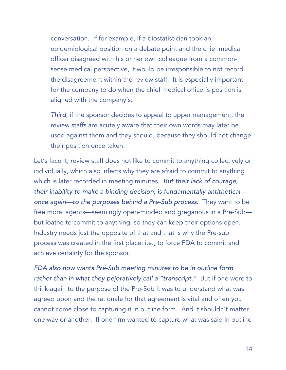conversation. If for example, if a biostatistician took an epidemiological position on a debate point and the chief medical officer disagreed with his or her own colleague from a commonsense medical perspective, it would be irresponsible to not record the disagreement within the review staff. It is especially important for the company to do when the chief medical officer's position is aligned with the company's.

*Third*, if the sponsor decides to appeal to upper management, the review staffs are acutely aware that their own words may later be used against them and they should, because they should not change their position once taken.

Let's face it, review staff does not like to commit to anything collectively or individually, which also infects why they are afraid to commit to anything which is later recorded in meeting minutes. *But their lack of courage, their inability to make a binding decision, is fundamentally antithetical once again—to the purposes behind a Pre-Sub process.* They want to be free moral agents—seemingly open-minded and gregarious in a Pre-Sub but loathe to commit to anything, so they can keep their options open. Industry needs just the opposite of that and that is why the Pre-sub process was created in the first place, i.e., to force FDA to commit and achieve certainty for the sponsor.

*FDA also now wants Pre-Sub meeting minutes to be in outline form rather than in what they pejoratively call a "transcript."* But if one were to think again to the purpose of the Pre-Sub it was to understand what was agreed upon and the rationale for that agreement is vital and often you cannot come close to capturing it in outline form. And it shouldn't matter one way or another. If one firm wanted to capture what was said in outline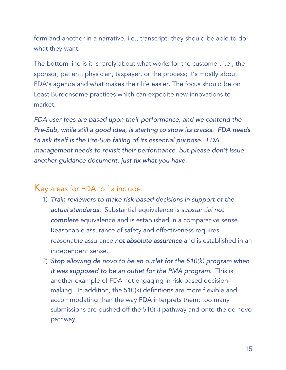form and another in a narrative, i.e., transcript, they should be able to do what they want.

The bottom line is it is rarely about what works for the customer, i.e., the sponsor, patient, physician, taxpayer, or the process; it's mostly about FDA's agenda and what makes their life easier. The focus should be on Least Burdensome practices which can expedite new innovations to market.

*FDA user fees are based upon their performance, and we contend the Pre-Sub, while still a good idea, is starting to show its cracks. FDA needs to ask itself is the Pre-Sub failing of its essential purpose. FDA management needs to revisit their performance, but please don't issue another guidance document, just fix what you have.* 

#### Key areas for FDA to fix include:

- 1) *Train reviewers to make risk-based decisions in support of the actual standards.* Substantial equivalence is *substantial not complete* equivalence and is established in a comparative sense. Reasonable assurance of safety and effectiveness requires r*easonable* assurance *not absolute assurance* and is established in an independent sense.
- 2) *Stop allowing de novo to be an outlet for the 510(k) program when it was supposed to be an outlet for the PMA program.* This is another example of FDA not engaging in risk-based decisionmaking. In addition, the 510(k) definitions are more flexible and accommodating than the way FDA interprets them; too many submissions are pushed off the 510(k) pathway and onto the de novo pathway.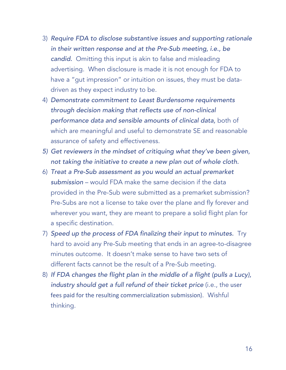- 3) *Require FDA to disclose substantive issues and supporting rationale in their written response and at the Pre-Sub meeting, i.e., be candid.* Omitting this input is akin to false and misleading advertising. When disclosure is made it is not enough for FDA to have a "gut impression" or intuition on issues, they must be datadriven as they expect industry to be.
- 4) *Demonstrate commitment to Least Burdensome requirements through decision making that reflects use of non-clinical performance data and sensible amounts of clinical data,* both of which are meaningful and useful to demonstrate SE and reasonable assurance of safety and effectiveness.
- *5) Get reviewers in the mindset of critiquing what they've been given, not taking the initiative to create a new plan out of whole cloth.*
- 6) *Treat a Pre-Sub assessment as you would an actual premarket submission* – would FDA make the same decision if the data provided in the Pre-Sub were submitted as a premarket submission? Pre-Subs are not a license to take over the plane and fly forever and wherever you want, they are meant to prepare a solid flight plan for a specific destination.
- 7) *Speed up the process of FDA finalizing their input to minutes.* Try hard to avoid any Pre-Sub meeting that ends in an agree-to-disagree minutes outcome. It doesn't make sense to have two sets of different facts cannot be the result of a Pre-Sub meeting.
- 8) *If FDA changes the flight plan in the middle of a flight (pulls a Lucy), industry should get a full refund of their ticket price* (i.e., the user fees paid for the resulting commercialization submission). Wishful thinking.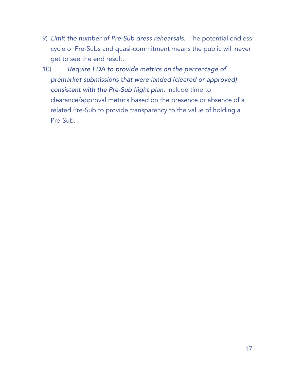- 9) *Limit the number of Pre-Sub dress rehearsals.* The potential endless cycle of Pre-Subs and quasi-commitment means the public will never get to see the end result.
- 10) *Require FDA to provide metrics on the percentage of premarket submissions that were landed (cleared or approved) consistent with the Pre-Sub flight plan.* Include time to clearance/approval metrics based on the presence or absence of a related Pre-Sub to provide transparency to the value of holding a Pre-Sub.